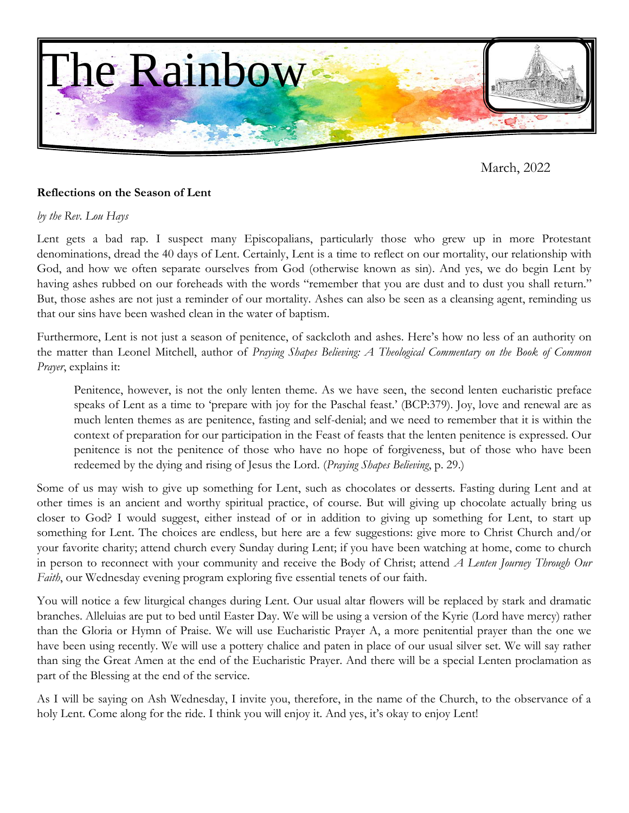

March, 2022

## **Reflections on the Season of Lent**

#### *by the Rev. Lou Hays*

Lent gets a bad rap. I suspect many Episcopalians, particularly those who grew up in more Protestant denominations, dread the 40 days of Lent. Certainly, Lent is a time to reflect on our mortality, our relationship with God, and how we often separate ourselves from God (otherwise known as sin). And yes, we do begin Lent by having ashes rubbed on our foreheads with the words "remember that you are dust and to dust you shall return." But, those ashes are not just a reminder of our mortality. Ashes can also be seen as a cleansing agent, reminding us that our sins have been washed clean in the water of baptism.

Furthermore, Lent is not just a season of penitence, of sackcloth and ashes. Here's how no less of an authority on the matter than Leonel Mitchell, author of *Praying Shapes Believing: A Theological Commentary on the Book of Common Prayer*, explains it:

Penitence, however, is not the only lenten theme. As we have seen, the second lenten eucharistic preface speaks of Lent as a time to 'prepare with joy for the Paschal feast.' (BCP:379). Joy, love and renewal are as much lenten themes as are penitence, fasting and self-denial; and we need to remember that it is within the context of preparation for our participation in the Feast of feasts that the lenten penitence is expressed. Our penitence is not the penitence of those who have no hope of forgiveness, but of those who have been redeemed by the dying and rising of Jesus the Lord. (*Praying Shapes Believing*, p. 29.)

Some of us may wish to give up something for Lent, such as chocolates or desserts. Fasting during Lent and at other times is an ancient and worthy spiritual practice, of course. But will giving up chocolate actually bring us closer to God? I would suggest, either instead of or in addition to giving up something for Lent, to start up something for Lent. The choices are endless, but here are a few suggestions: give more to Christ Church and/or your favorite charity; attend church every Sunday during Lent; if you have been watching at home, come to church in person to reconnect with your community and receive the Body of Christ; attend *A Lenten Journey Through Our Faith*, our Wednesday evening program exploring five essential tenets of our faith.

You will notice a few liturgical changes during Lent. Our usual altar flowers will be replaced by stark and dramatic branches. Alleluias are put to bed until Easter Day. We will be using a version of the Kyrie (Lord have mercy) rather than the Gloria or Hymn of Praise. We will use Eucharistic Prayer A, a more penitential prayer than the one we have been using recently. We will use a pottery chalice and paten in place of our usual silver set. We will say rather than sing the Great Amen at the end of the Eucharistic Prayer. And there will be a special Lenten proclamation as part of the Blessing at the end of the service.

As I will be saying on Ash Wednesday, I invite you, therefore, in the name of the Church, to the observance of a holy Lent. Come along for the ride. I think you will enjoy it. And yes, it's okay to enjoy Lent!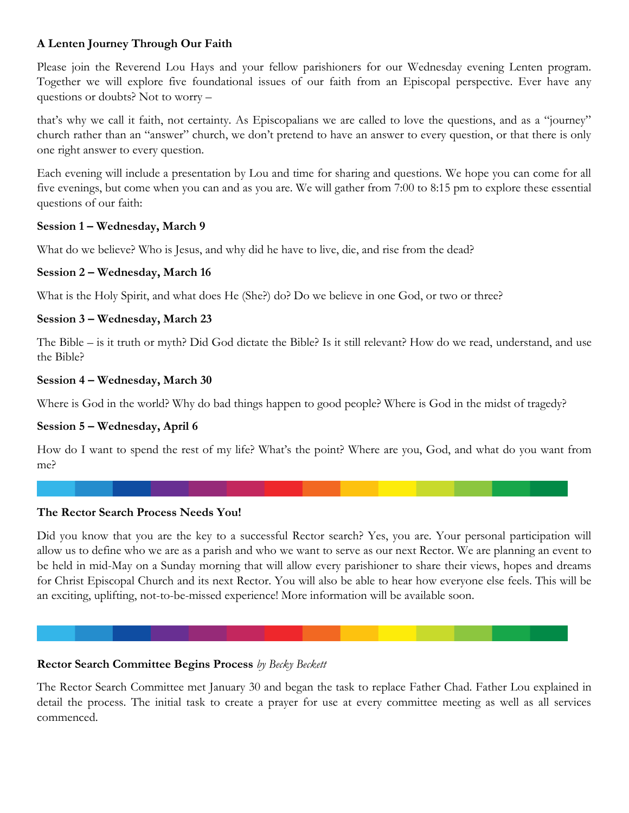## **A Lenten Journey Through Our Faith**

Please join the Reverend Lou Hays and your fellow parishioners for our Wednesday evening Lenten program. Together we will explore five foundational issues of our faith from an Episcopal perspective. Ever have any questions or doubts? Not to worry –

that's why we call it faith, not certainty. As Episcopalians we are called to love the questions, and as a "journey" church rather than an "answer" church, we don't pretend to have an answer to every question, or that there is only one right answer to every question.

Each evening will include a presentation by Lou and time for sharing and questions. We hope you can come for all five evenings, but come when you can and as you are. We will gather from 7:00 to 8:15 pm to explore these essential questions of our faith:

## **Session 1 – Wednesday, March 9**

What do we believe? Who is Jesus, and why did he have to live, die, and rise from the dead?

## **Session 2 – Wednesday, March 16**

What is the Holy Spirit, and what does He (She?) do? Do we believe in one God, or two or three?

## **Session 3 – Wednesday, March 23**

The Bible – is it truth or myth? Did God dictate the Bible? Is it still relevant? How do we read, understand, and use the Bible?

## **Session 4 – Wednesday, March 30**

Where is God in the world? Why do bad things happen to good people? Where is God in the midst of tragedy?

## **Session 5 – Wednesday, April 6**

How do I want to spend the rest of my life? What's the point? Where are you, God, and what do you want from me?

#### **The Rector Search Process Needs You!**

Did you know that you are the key to a successful Rector search? Yes, you are. Your personal participation will allow us to define who we are as a parish and who we want to serve as our next Rector. We are planning an event to be held in mid-May on a Sunday morning that will allow every parishioner to share their views, hopes and dreams for Christ Episcopal Church and its next Rector. You will also be able to hear how everyone else feels. This will be an exciting, uplifting, not-to-be-missed experience! More information will be available soon.

## **Rector Search Committee Begins Process** *by Becky Beckett*

The Rector Search Committee met January 30 and began the task to replace Father Chad. Father Lou explained in detail the process. The initial task to create a prayer for use at every committee meeting as well as all services commenced.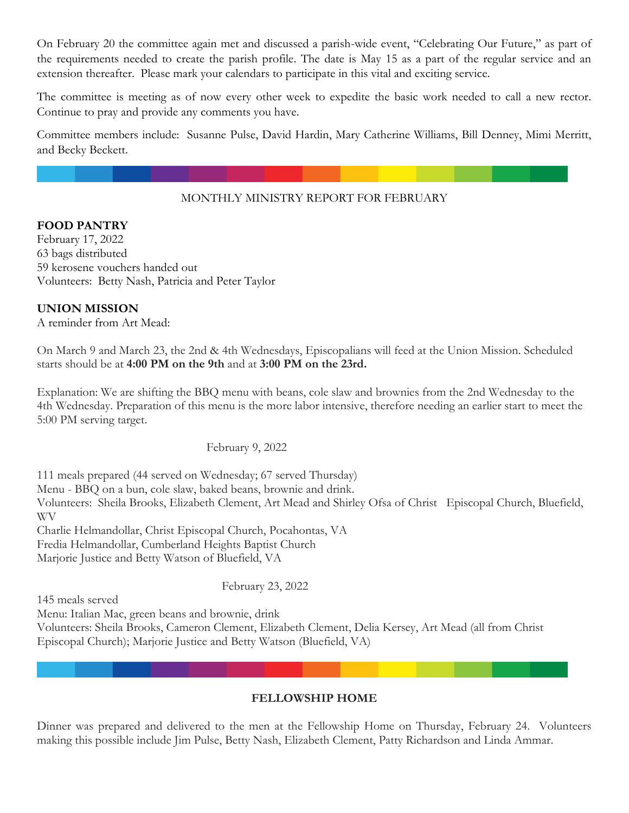On February 20 the committee again met and discussed a parish-wide event, "Celebrating Our Future," as part of the requirements needed to create the parish profile. The date is May 15 as a part of the regular service and an extension thereafter. Please mark your calendars to participate in this vital and exciting service.

The committee is meeting as of now every other week to expedite the basic work needed to call a new rector. Continue to pray and provide any comments you have.

Committee members include: Susanne Pulse, David Hardin, Mary Catherine Williams, Bill Denney, Mimi Merritt, and Becky Beckett.

## MONTHLY MINISTRY REPORT FOR FEBRUARY

## **FOOD PANTRY**

February 17, 2022 63 bags distributed 59 kerosene vouchers handed out Volunteers: Betty Nash, Patricia and Peter Taylor

## **UNION MISSION**

A reminder from Art Mead:

On March 9 and March 23, the 2nd & 4th Wednesdays, Episcopalians will feed at the Union Mission. Scheduled starts should be at **4:00 PM on the 9th** and at **3:00 PM on the 23rd.**

Explanation: We are shifting the BBQ menu with beans, cole slaw and brownies from the 2nd Wednesday to the 4th Wednesday. Preparation of this menu is the more labor intensive, therefore needing an earlier start to meet the 5:00 PM serving target.

February 9, 2022

111 meals prepared (44 served on Wednesday; 67 served Thursday) Menu - BBQ on a bun, cole slaw, baked beans, brownie and drink. Volunteers: Sheila Brooks, Elizabeth Clement, Art Mead and Shirley Ofsa of Christ Episcopal Church, Bluefield, WV Charlie Helmandollar, Christ Episcopal Church, Pocahontas, VA Fredia Helmandollar, Cumberland Heights Baptist Church

Marjorie Justice and Betty Watson of Bluefield, VA

February 23, 2022

145 meals served

Menu: Italian Mac, green beans and brownie, drink

Volunteers: Sheila Brooks, Cameron Clement, Elizabeth Clement, Delia Kersey, Art Mead (all from Christ Episcopal Church); Marjorie Justice and Betty Watson (Bluefield, VA)

#### **FELLOWSHIP HOME**

Dinner was prepared and delivered to the men at the Fellowship Home on Thursday, February 24. Volunteers making this possible include Jim Pulse, Betty Nash, Elizabeth Clement, Patty Richardson and Linda Ammar.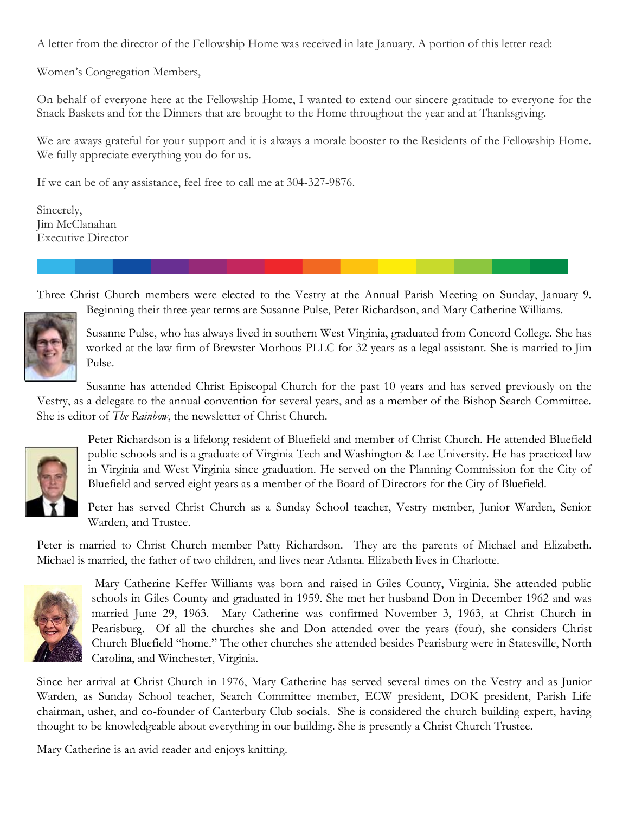A letter from the director of the Fellowship Home was received in late January. A portion of this letter read:

Women's Congregation Members,

On behalf of everyone here at the Fellowship Home, I wanted to extend our sincere gratitude to everyone for the Snack Baskets and for the Dinners that are brought to the Home throughout the year and at Thanksgiving.

We are aways grateful for your support and it is always a morale booster to the Residents of the Fellowship Home. We fully appreciate everything you do for us.

If we can be of any assistance, feel free to call me at 304-327-9876.

Sincerely, Jim McClanahan Executive Director

Three Christ Church members were elected to the Vestry at the Annual Parish Meeting on Sunday, January 9. Beginning their three-year terms are Susanne Pulse, Peter Richardson, and Mary Catherine Williams.



Susanne Pulse, who has always lived in southern West Virginia, graduated from Concord College. She has worked at the law firm of Brewster Morhous PLLC for 32 years as a legal assistant. She is married to Jim Pulse.

Susanne has attended Christ Episcopal Church for the past 10 years and has served previously on the Vestry, as a delegate to the annual convention for several years, and as a member of the Bishop Search Committee. She is editor of *The Rainbow*, the newsletter of Christ Church.



Peter Richardson is a lifelong resident of Bluefield and member of Christ Church. He attended Bluefield public schools and is a graduate of Virginia Tech and Washington & Lee University. He has practiced law in Virginia and West Virginia since graduation. He served on the Planning Commission for the City of Bluefield and served eight years as a member of the Board of Directors for the City of Bluefield.

Peter has served Christ Church as a Sunday School teacher, Vestry member, Junior Warden, Senior Warden, and Trustee.

Peter is married to Christ Church member Patty Richardson. They are the parents of Michael and Elizabeth. Michael is married, the father of two children, and lives near Atlanta. Elizabeth lives in Charlotte.



Mary Catherine Keffer Williams was born and raised in Giles County, Virginia. She attended public schools in Giles County and graduated in 1959. She met her husband Don in December 1962 and was married June 29, 1963. Mary Catherine was confirmed November 3, 1963, at Christ Church in Pearisburg. Of all the churches she and Don attended over the years (four), she considers Christ Church Bluefield "home." The other churches she attended besides Pearisburg were in Statesville, North Carolina, and Winchester, Virginia.

Since her arrival at Christ Church in 1976, Mary Catherine has served several times on the Vestry and as Junior Warden, as Sunday School teacher, Search Committee member, ECW president, DOK president, Parish Life chairman, usher, and co-founder of Canterbury Club socials. She is considered the church building expert, having thought to be knowledgeable about everything in our building. She is presently a Christ Church Trustee.

Mary Catherine is an avid reader and enjoys knitting.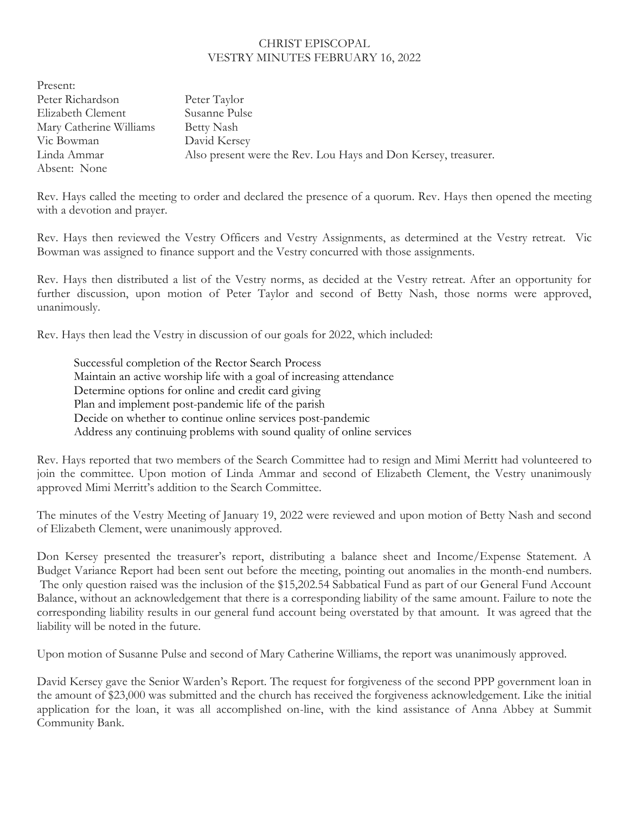#### CHRIST EPISCOPAL VESTRY MINUTES FEBRUARY 16, 2022

Present: Peter Richardson Peter Taylor Elizabeth Clement Susanne Pulse Mary Catherine Williams Betty Nash Vic Bowman David Kersey Linda Ammar Also present were the Rev. Lou Hays and Don Kersey, treasurer. Absent: None

Rev. Hays called the meeting to order and declared the presence of a quorum. Rev. Hays then opened the meeting with a devotion and prayer.

Rev. Hays then reviewed the Vestry Officers and Vestry Assignments, as determined at the Vestry retreat. Vic Bowman was assigned to finance support and the Vestry concurred with those assignments.

Rev. Hays then distributed a list of the Vestry norms, as decided at the Vestry retreat. After an opportunity for further discussion, upon motion of Peter Taylor and second of Betty Nash, those norms were approved, unanimously.

Rev. Hays then lead the Vestry in discussion of our goals for 2022, which included:

Successful completion of the Rector Search Process Maintain an active worship life with a goal of increasing attendance Determine options for online and credit card giving Plan and implement post-pandemic life of the parish Decide on whether to continue online services post-pandemic Address any continuing problems with sound quality of online services

Rev. Hays reported that two members of the Search Committee had to resign and Mimi Merritt had volunteered to join the committee. Upon motion of Linda Ammar and second of Elizabeth Clement, the Vestry unanimously approved Mimi Merritt's addition to the Search Committee.

The minutes of the Vestry Meeting of January 19, 2022 were reviewed and upon motion of Betty Nash and second of Elizabeth Clement, were unanimously approved.

Don Kersey presented the treasurer's report, distributing a balance sheet and Income/Expense Statement. A Budget Variance Report had been sent out before the meeting, pointing out anomalies in the month-end numbers. The only question raised was the inclusion of the \$15,202.54 Sabbatical Fund as part of our General Fund Account Balance, without an acknowledgement that there is a corresponding liability of the same amount. Failure to note the corresponding liability results in our general fund account being overstated by that amount. It was agreed that the liability will be noted in the future.

Upon motion of Susanne Pulse and second of Mary Catherine Williams, the report was unanimously approved.

David Kersey gave the Senior Warden's Report. The request for forgiveness of the second PPP government loan in the amount of \$23,000 was submitted and the church has received the forgiveness acknowledgement. Like the initial application for the loan, it was all accomplished on-line, with the kind assistance of Anna Abbey at Summit Community Bank.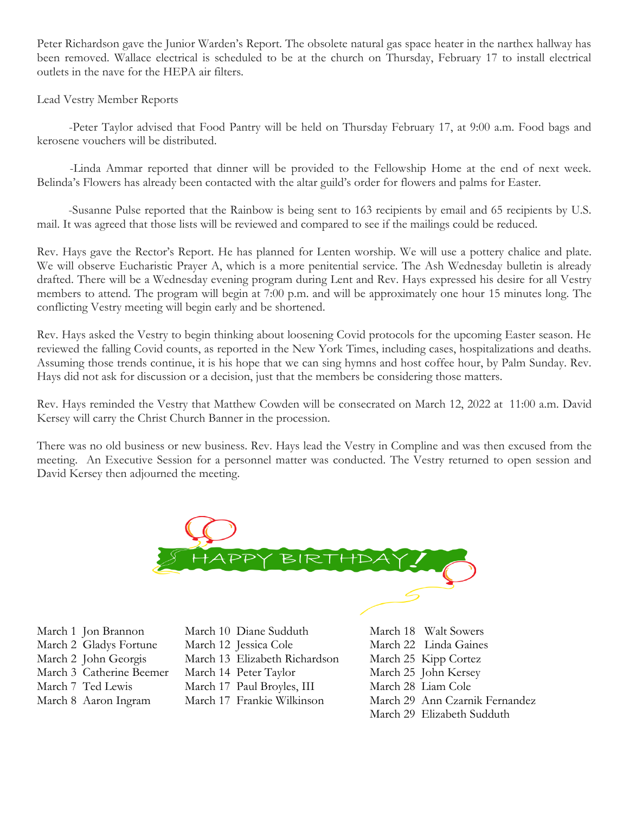Peter Richardson gave the Junior Warden's Report. The obsolete natural gas space heater in the narthex hallway has been removed. Wallace electrical is scheduled to be at the church on Thursday, February 17 to install electrical outlets in the nave for the HEPA air filters.

Lead Vestry Member Reports

 -Peter Taylor advised that Food Pantry will be held on Thursday February 17, at 9:00 a.m. Food bags and kerosene vouchers will be distributed.

 -Linda Ammar reported that dinner will be provided to the Fellowship Home at the end of next week. Belinda's Flowers has already been contacted with the altar guild's order for flowers and palms for Easter.

 -Susanne Pulse reported that the Rainbow is being sent to 163 recipients by email and 65 recipients by U.S. mail. It was agreed that those lists will be reviewed and compared to see if the mailings could be reduced.

Rev. Hays gave the Rector's Report. He has planned for Lenten worship. We will use a pottery chalice and plate. We will observe Eucharistic Prayer A, which is a more penitential service. The Ash Wednesday bulletin is already drafted. There will be a Wednesday evening program during Lent and Rev. Hays expressed his desire for all Vestry members to attend. The program will begin at 7:00 p.m. and will be approximately one hour 15 minutes long. The conflicting Vestry meeting will begin early and be shortened.

Rev. Hays asked the Vestry to begin thinking about loosening Covid protocols for the upcoming Easter season. He reviewed the falling Covid counts, as reported in the New York Times, including cases, hospitalizations and deaths. Assuming those trends continue, it is his hope that we can sing hymns and host coffee hour, by Palm Sunday. Rev. Hays did not ask for discussion or a decision, just that the members be considering those matters.

Rev. Hays reminded the Vestry that Matthew Cowden will be consecrated on March 12, 2022 at 11:00 a.m. David Kersey will carry the Christ Church Banner in the procession.

There was no old business or new business. Rev. Hays lead the Vestry in Compline and was then excused from the meeting. An Executive Session for a personnel matter was conducted. The Vestry returned to open session and David Kersey then adjourned the meeting.



- March 1 Jon Brannon March 10 Diane Sudduth March 18 Walt Sowers March 2 Gladys Fortune March 12 Jessica Cole March 22 Linda Gaines March 2 John Georgis March 13 Elizabeth Richardson March 25 Kipp Cortez March 3 Catherine Beemer March 14 Peter Taylor March 25 John Kersey
- 
- 
- 
- 
- March 7 Ted Lewis March 17 Paul Broyles, III March 28 Liam Cole
	-
- 
- 
- 
- -
- March 8 Aaron Ingram March 17 Frankie Wilkinson March 29 Ann Czarnik Fernandez
	- March 29 Elizabeth Sudduth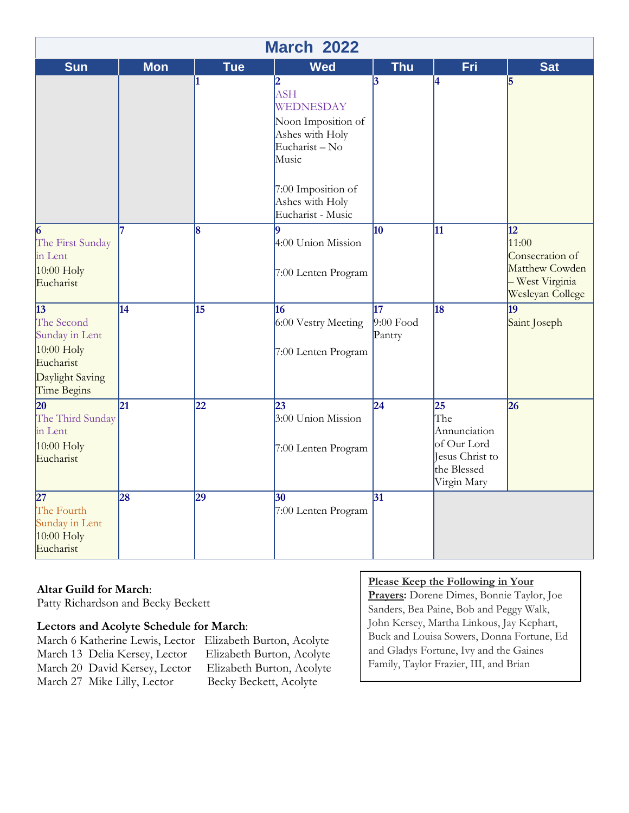| <b>March 2022</b>                                                                                       |                 |            |                                                                                                                                                                                    |                             |                                                                                                        |                                                                                                      |
|---------------------------------------------------------------------------------------------------------|-----------------|------------|------------------------------------------------------------------------------------------------------------------------------------------------------------------------------------|-----------------------------|--------------------------------------------------------------------------------------------------------|------------------------------------------------------------------------------------------------------|
| <b>Sun</b>                                                                                              | <b>Mon</b>      | <b>Tue</b> | <b>Wed</b>                                                                                                                                                                         | <b>Thu</b>                  | Fri                                                                                                    | <b>Sat</b>                                                                                           |
|                                                                                                         |                 | 11         | $\overline{\mathbf{2}}$<br><b>ASH</b><br>WEDNESDAY<br>Noon Imposition of<br>Ashes with Holy<br>Eucharist-No<br>Music<br>7:00 Imposition of<br>Ashes with Holy<br>Eucharist - Music | 13                          | 4                                                                                                      | 5                                                                                                    |
| 6<br>The First Sunday<br>in Lent<br>$10:00$ Holy<br>Eucharist                                           |                 | 8          | 9<br>4:00 Union Mission<br>7:00 Lenten Program                                                                                                                                     | 10                          | 11                                                                                                     | $\overline{12}$<br>11:00<br>Consecration of<br>Matthew Cowden<br>- West Virginia<br>Wesleyan College |
| $\vert$ 13<br>The Second<br>Sunday in Lent<br>10:00 Holy<br>Eucharist<br>Daylight Saving<br>Time Begins | 14              | 15         | 16<br>6:00 Vestry Meeting<br>7:00 Lenten Program                                                                                                                                   | 17<br>$9:00$ Food<br>Pantry | 18                                                                                                     | 19<br>Saint Joseph                                                                                   |
| 20<br>The Third Sunday<br>in Lent<br>$10:00$ Holy<br>Eucharist                                          | $\overline{21}$ | 22         | 23<br>3:00 Union Mission<br>7:00 Lenten Program                                                                                                                                    | $\overline{24}$             | $\overline{25}$<br>The<br>Annunciation<br>of Our Lord<br>Jesus Christ to<br>the Blessed<br>Virgin Mary | 26                                                                                                   |
| $\overline{27}$<br>The Fourth<br>Sunday in Lent<br>10:00 Holy<br>Eucharist                              | 28              | 29         | 30<br>7:00 Lenten Program                                                                                                                                                          | $\overline{31}$             |                                                                                                        |                                                                                                      |

#### **Altar Guild for March**:

Patty Richardson and Becky Beckett

#### **Lectors and Acolyte Schedule for March**:

March 6 Katherine Lewis, Lector Elizabeth Burton, Acolyte March 13 Delia Kersey, Lector Elizabeth Burton, Acolyte March 20 David Kersey, Lector Elizabeth Burton, Acolyte March 27 Mike Lilly, Lector Becky Beckett, Acolyte

#### **Please Keep the Following in Your**

**Prayers:** Dorene Dimes, Bonnie Taylor, Joe Sanders, Bea Paine, Bob and Peggy Walk, John Kersey, Martha Linkous, Jay Kephart, Buck and Louisa Sowers, Donna Fortune, Ed and Gladys Fortune, Ivy and the Gaines Family, Taylor Frazier, III, and Brian